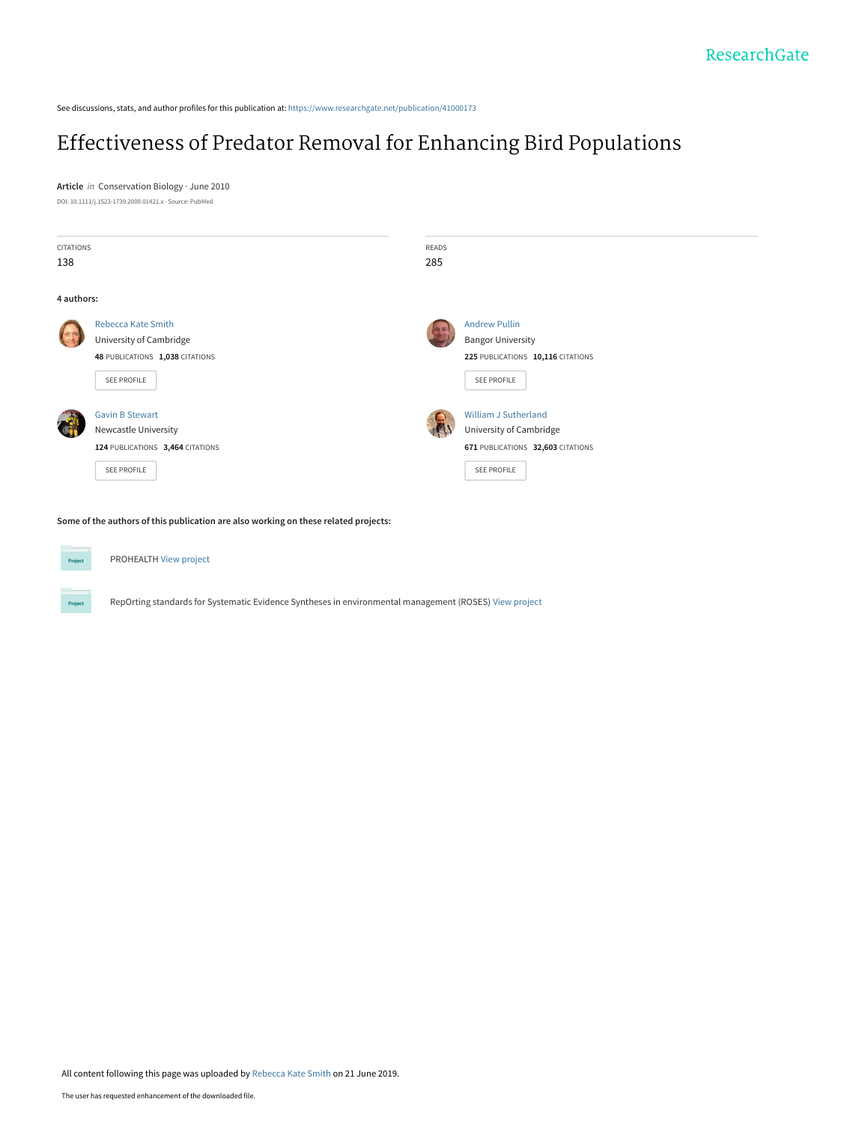See discussions, stats, and author profiles for this publication at: [https://www.researchgate.net/publication/41000173](https://www.researchgate.net/publication/41000173_Effectiveness_of_Predator_Removal_for_Enhancing_Bird_Populations?enrichId=rgreq-6041ebee17c76477b1e13b3d7efd2129-XXX&enrichSource=Y292ZXJQYWdlOzQxMDAwMTczO0FTOjc3MjIyMjEwMDcwOTM4OUAxNTYxMTIzNTA0NjQw&el=1_x_2&_esc=publicationCoverPdf)

# [Effectiveness of Predator Removal for Enhancing Bird Populations](https://www.researchgate.net/publication/41000173_Effectiveness_of_Predator_Removal_for_Enhancing_Bird_Populations?enrichId=rgreq-6041ebee17c76477b1e13b3d7efd2129-XXX&enrichSource=Y292ZXJQYWdlOzQxMDAwMTczO0FTOjc3MjIyMjEwMDcwOTM4OUAxNTYxMTIzNTA0NjQw&el=1_x_3&_esc=publicationCoverPdf)

**Article** in Conservation Biology · June 2010 DOI: 10.1111/j.1523-1739.2009.01421.x · Source: PubMed



**Some of the authors of this publication are also working on these related projects:**



PROHEALTH [View project](https://www.researchgate.net/project/PROHEALTH-2?enrichId=rgreq-6041ebee17c76477b1e13b3d7efd2129-XXX&enrichSource=Y292ZXJQYWdlOzQxMDAwMTczO0FTOjc3MjIyMjEwMDcwOTM4OUAxNTYxMTIzNTA0NjQw&el=1_x_9&_esc=publicationCoverPdf)

RepOrting standards for Systematic Evidence Syntheses in environmental management (ROSES) [View project](https://www.researchgate.net/project/RepOrting-standards-for-Systematic-Evidence-Syntheses-in-environmental-management-ROSES?enrichId=rgreq-6041ebee17c76477b1e13b3d7efd2129-XXX&enrichSource=Y292ZXJQYWdlOzQxMDAwMTczO0FTOjc3MjIyMjEwMDcwOTM4OUAxNTYxMTIzNTA0NjQw&el=1_x_9&_esc=publicationCoverPdf)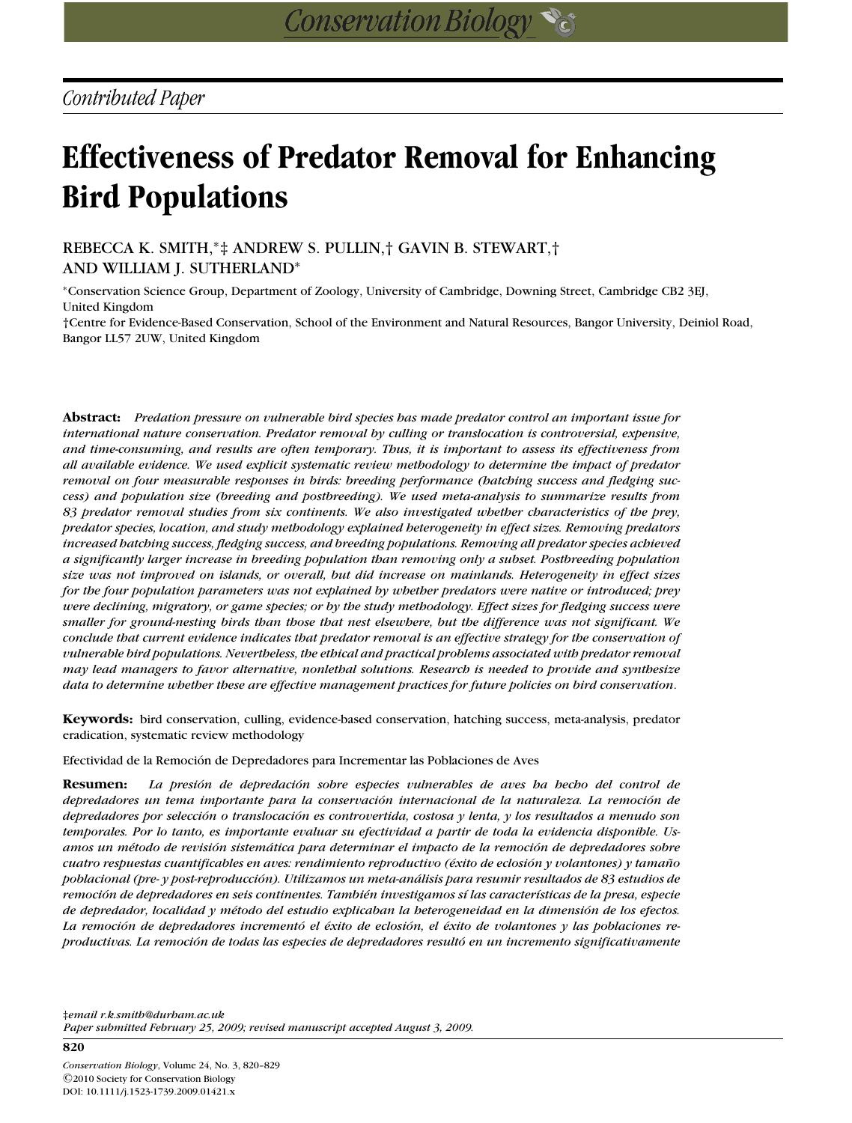# **Effectiveness of Predator Removal for Enhancing Bird Populations**

REBECCA K. SMITH,∗‡ ANDREW S. PULLIN,† GAVIN B. STEWART,† AND WILLIAM J. SUTHERLAND<sup>∗</sup>

<sup>∗</sup>Conservation Science Group, Department of Zoology, University of Cambridge, Downing Street, Cambridge CB2 3EJ, United Kingdom

†Centre for Evidence-Based Conservation, School of the Environment and Natural Resources, Bangor University, Deiniol Road, Bangor LL57 2UW, United Kingdom

**Abstract:** *Predation pressure on vulnerable bird species has made predator control an important issue for international nature conservation. Predator removal by culling or translocation is controversial, expensive, and time-consuming, and results are often temporary. Thus, it is important to assess its effectiveness from all available evidence. We used explicit systematic review methodology to determine the impact of predator removal on four measurable responses in birds: breeding performance (hatching success and fledging success) and population size (breeding and postbreeding). We used meta-analysis to summarize results from 83 predator removal studies from six continents. We also investigated whether characteristics of the prey, predator species, location, and study methodology explained heterogeneity in effect sizes. Removing predators increased hatching success, fledging success, and breeding populations. Removing all predator species achieved a significantly larger increase in breeding population than removing only a subset. Postbreeding population size was not improved on islands, or overall, but did increase on mainlands. Heterogeneity in effect sizes for the four population parameters was not explained by whether predators were native or introduced; prey were declining, migratory, or game species; or by the study methodology. Effect sizes for fledging success were smaller for ground-nesting birds than those that nest elsewhere, but the difference was not significant. We conclude that current evidence indicates that predator removal is an effective strategy for the conservation of vulnerable bird populations. Nevertheless, the ethical and practical problems associated with predator removal may lead managers to favor alternative, nonlethal solutions. Research is needed to provide and synthesize data to determine whether these are effective management practices for future policies on bird conservation*.

**Keywords:** bird conservation, culling, evidence-based conservation, hatching success, meta-analysis, predator eradication, systematic review methodology

Efectividad de la Remocion de Depredadores para Incrementar las Poblaciones de Aves ´

**Resumen:** *La presion de depredaci ´ on sobre especies vulnerables de aves ha hecho del control de ´ depredadores un tema importante para la conservación internacional de la naturaleza. La remoción de depredadores por seleccion o translocaci ´ on es controvertida, costosa y lenta, y los resultados a menudo son ´ temporales. Por lo tanto, es importante evaluar su efectividad a partir de toda la evidencia disponible. Usamos un m´etodo de revision sistem ´ atica para determinar el impacto de la remoci ´ on de depredadores sobre ´ cuatro respuestas cuantificables en aves: rendimiento reproductivo (´exito de eclosion y volantones) y tama ´ no˜ poblacional (pre- y post-reproduccion). Utilizamos un meta-an ´ alisis para resumir resultados de 83 estudios de ´ remocion de depredadores en seis continentes. Tambi ´ ´en investigamos s´ı las caracter´ısticas de la presa, especie de depredador, localidad y m´etodo del estudio explicaban la heterogeneidad en la dimension de los efectos. ´* La remoción de depredadores incrementó el éxito de eclosión, el éxito de volantones y las poblaciones re*productivas. La remocion de todas las especies de depredadores result ´ o en un incremento significativamente ´*

‡*email r.k.smith@durham.ac.uk Paper submitted February 25, 2009; revised manuscript accepted August 3, 2009.*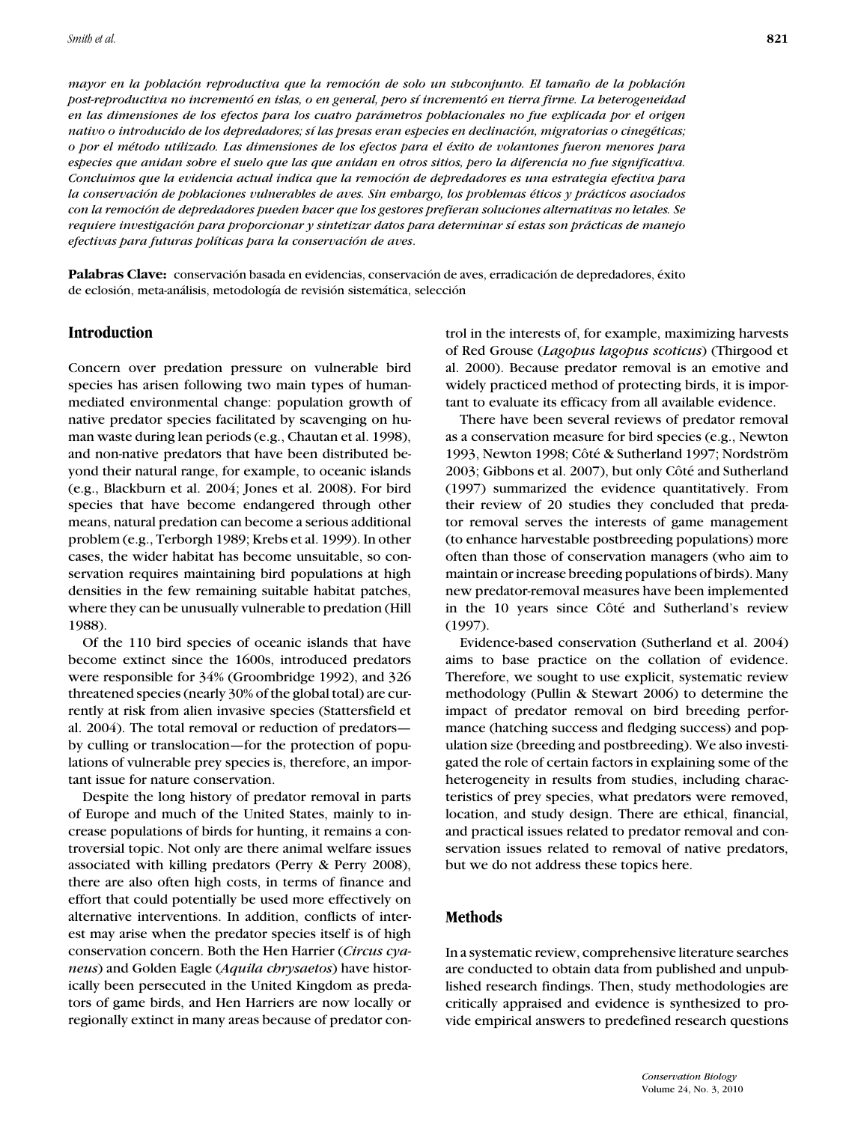*mayor en la población reproductiva que la remoción de solo un subconjunto. El tamaño de la población post-reproductiva no incremento en islas, o en general, pero s ´ ´ı incremento en tierra firme. La heterogeneidad ´ en las dimensiones de los efectos para los cuatro parametros poblacionales no fue explicada por el origen ´ nativo o introducido de los depredadores; s´ı las presas eran especies en declinacion, migratorias o cineg ´ ´eticas; o por el m´etodo utilizado. Las dimensiones de los efectos para el ´exito de volantones fueron menores para especies que anidan sobre el suelo que las que anidan en otros sitios, pero la diferencia no fue significativa. Concluimos que la evidencia actual indica que la remocion de depredadores es una estrategia efectiva para ´ la conservacion de poblaciones vulnerables de aves. Sin embargo, los problemas ´ ´eticos y practicos asociados ´ con la remocion de depredadores pueden hacer que los gestores prefieran soluciones alternativas no letales. Se ´ requiere investigacion para proporcionar y sintetizar datos para determinar s ´ ´ı estas son practicas de manejo ´* efectivas para futuras políticas para la conservación de aves.

**Palabras Clave:** conservación basada en evidencias, conservación de aves, erradicación de depredadores, éxito de eclosión, meta-análisis, metodología de revisión sistemática, selección

#### **Introduction**

Concern over predation pressure on vulnerable bird species has arisen following two main types of humanmediated environmental change: population growth of native predator species facilitated by scavenging on human waste during lean periods (e.g., Chautan et al. 1998), and non-native predators that have been distributed beyond their natural range, for example, to oceanic islands (e.g., Blackburn et al. 2004; Jones et al. 2008). For bird species that have become endangered through other means, natural predation can become a serious additional problem (e.g., Terborgh 1989; Krebs et al. 1999). In other cases, the wider habitat has become unsuitable, so conservation requires maintaining bird populations at high densities in the few remaining suitable habitat patches, where they can be unusually vulnerable to predation (Hill 1988).

Of the 110 bird species of oceanic islands that have become extinct since the 1600s, introduced predators were responsible for 34% (Groombridge 1992), and 326 threatened species (nearly 30% of the global total) are currently at risk from alien invasive species (Stattersfield et al. 2004). The total removal or reduction of predators by culling or translocation—for the protection of populations of vulnerable prey species is, therefore, an important issue for nature conservation.

Despite the long history of predator removal in parts of Europe and much of the United States, mainly to increase populations of birds for hunting, it remains a controversial topic. Not only are there animal welfare issues associated with killing predators (Perry & Perry 2008), there are also often high costs, in terms of finance and effort that could potentially be used more effectively on alternative interventions. In addition, conflicts of interest may arise when the predator species itself is of high conservation concern. Both the Hen Harrier (*Circus cyaneus*) and Golden Eagle (*Aquila chrysaetos*) have historically been persecuted in the United Kingdom as predators of game birds, and Hen Harriers are now locally or regionally extinct in many areas because of predator control in the interests of, for example, maximizing harvests of Red Grouse (*Lagopus lagopus scoticus*) (Thirgood et al. 2000). Because predator removal is an emotive and widely practiced method of protecting birds, it is important to evaluate its efficacy from all available evidence.

There have been several reviews of predator removal as a conservation measure for bird species (e.g., Newton 1993, Newton 1998; Côté & Sutherland 1997; Nordström 2003; Gibbons et al. 2007), but only Côté and Sutherland (1997) summarized the evidence quantitatively. From their review of 20 studies they concluded that predator removal serves the interests of game management (to enhance harvestable postbreeding populations) more often than those of conservation managers (who aim to maintain or increase breeding populations of birds). Many new predator-removal measures have been implemented in the 10 years since Côté and Sutherland's review (1997).

Evidence-based conservation (Sutherland et al. 2004) aims to base practice on the collation of evidence. Therefore, we sought to use explicit, systematic review methodology (Pullin & Stewart 2006) to determine the impact of predator removal on bird breeding performance (hatching success and fledging success) and population size (breeding and postbreeding). We also investigated the role of certain factors in explaining some of the heterogeneity in results from studies, including characteristics of prey species, what predators were removed, location, and study design. There are ethical, financial, and practical issues related to predator removal and conservation issues related to removal of native predators, but we do not address these topics here.

#### **Methods**

In a systematic review, comprehensive literature searches are conducted to obtain data from published and unpublished research findings. Then, study methodologies are critically appraised and evidence is synthesized to provide empirical answers to predefined research questions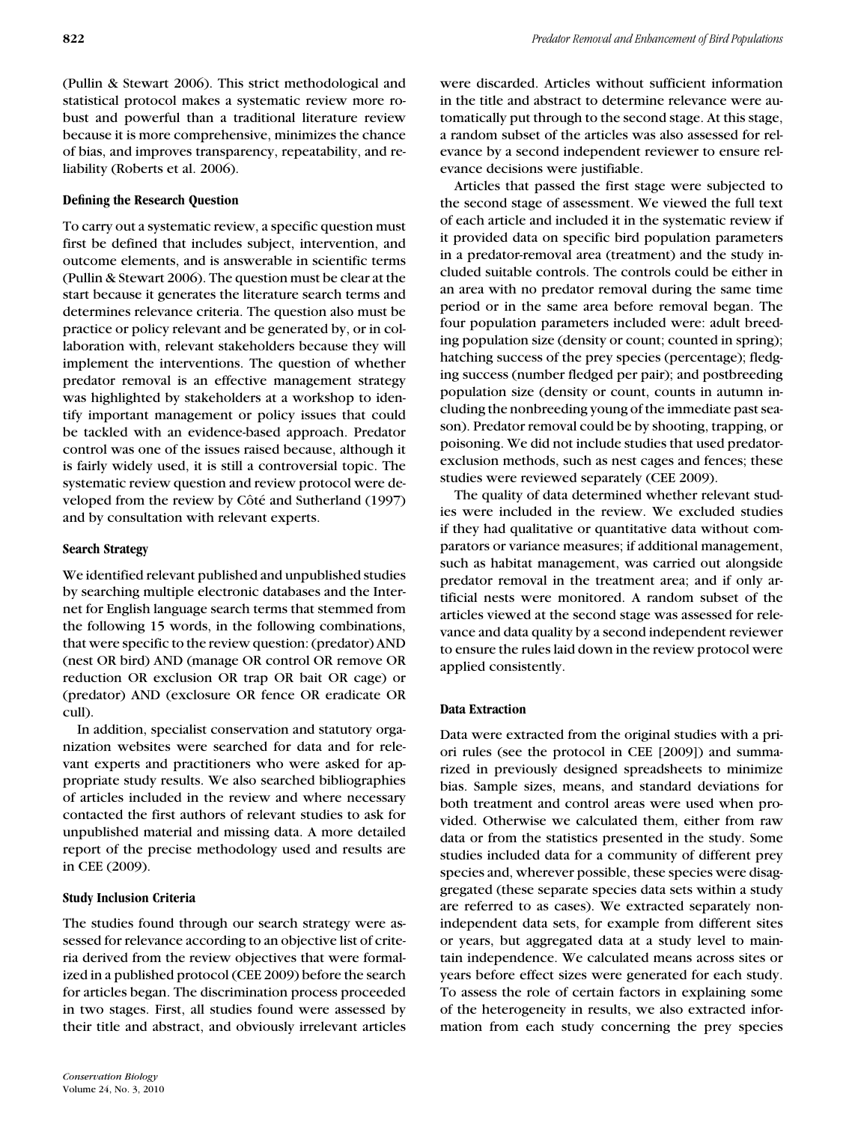(Pullin & Stewart 2006). This strict methodological and statistical protocol makes a systematic review more robust and powerful than a traditional literature review because it is more comprehensive, minimizes the chance of bias, and improves transparency, repeatability, and reliability (Roberts et al. 2006).

### **Defining the Research Question**

To carry out a systematic review, a specific question must first be defined that includes subject, intervention, and outcome elements, and is answerable in scientific terms (Pullin & Stewart 2006). The question must be clear at the start because it generates the literature search terms and determines relevance criteria. The question also must be practice or policy relevant and be generated by, or in collaboration with, relevant stakeholders because they will implement the interventions. The question of whether predator removal is an effective management strategy was highlighted by stakeholders at a workshop to identify important management or policy issues that could be tackled with an evidence-based approach. Predator control was one of the issues raised because, although it is fairly widely used, it is still a controversial topic. The systematic review question and review protocol were developed from the review by Côté and Sutherland (1997) and by consultation with relevant experts.

## **Search Strategy**

We identified relevant published and unpublished studies by searching multiple electronic databases and the Internet for English language search terms that stemmed from the following 15 words, in the following combinations, that were specific to the review question: (predator) AND (nest OR bird) AND (manage OR control OR remove OR reduction OR exclusion OR trap OR bait OR cage) or (predator) AND (exclosure OR fence OR eradicate OR cull).

In addition, specialist conservation and statutory organization websites were searched for data and for relevant experts and practitioners who were asked for appropriate study results. We also searched bibliographies of articles included in the review and where necessary contacted the first authors of relevant studies to ask for unpublished material and missing data. A more detailed report of the precise methodology used and results are in CEE (2009).

# **Study Inclusion Criteria**

The studies found through our search strategy were assessed for relevance according to an objective list of criteria derived from the review objectives that were formalized in a published protocol (CEE 2009) before the search for articles began. The discrimination process proceeded in two stages. First, all studies found were assessed by their title and abstract, and obviously irrelevant articles

were discarded. Articles without sufficient information in the title and abstract to determine relevance were automatically put through to the second stage. At this stage, a random subset of the articles was also assessed for relevance by a second independent reviewer to ensure relevance decisions were justifiable.

Articles that passed the first stage were subjected to the second stage of assessment. We viewed the full text of each article and included it in the systematic review if it provided data on specific bird population parameters in a predator-removal area (treatment) and the study included suitable controls. The controls could be either in an area with no predator removal during the same time period or in the same area before removal began. The four population parameters included were: adult breeding population size (density or count; counted in spring); hatching success of the prey species (percentage); fledging success (number fledged per pair); and postbreeding population size (density or count, counts in autumn including the nonbreeding young of the immediate past season). Predator removal could be by shooting, trapping, or poisoning. We did not include studies that used predatorexclusion methods, such as nest cages and fences; these studies were reviewed separately (CEE 2009).

The quality of data determined whether relevant studies were included in the review. We excluded studies if they had qualitative or quantitative data without comparators or variance measures; if additional management, such as habitat management, was carried out alongside predator removal in the treatment area; and if only artificial nests were monitored. A random subset of the articles viewed at the second stage was assessed for relevance and data quality by a second independent reviewer to ensure the rules laid down in the review protocol were applied consistently.

# **Data Extraction**

Data were extracted from the original studies with a priori rules (see the protocol in CEE [2009]) and summarized in previously designed spreadsheets to minimize bias. Sample sizes, means, and standard deviations for both treatment and control areas were used when provided. Otherwise we calculated them, either from raw data or from the statistics presented in the study. Some studies included data for a community of different prey species and, wherever possible, these species were disaggregated (these separate species data sets within a study are referred to as cases). We extracted separately nonindependent data sets, for example from different sites or years, but aggregated data at a study level to maintain independence. We calculated means across sites or years before effect sizes were generated for each study. To assess the role of certain factors in explaining some of the heterogeneity in results, we also extracted information from each study concerning the prey species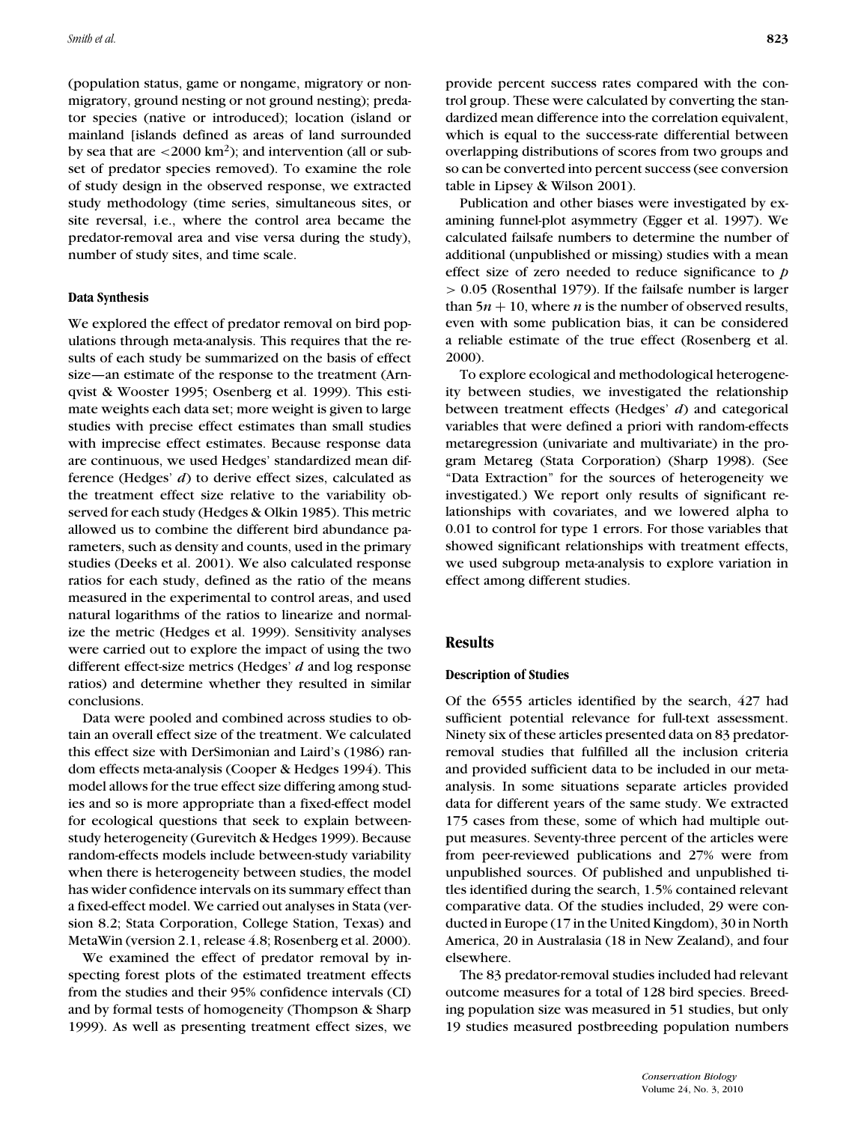(population status, game or nongame, migratory or nonmigratory, ground nesting or not ground nesting); predator species (native or introduced); location (island or mainland [islands defined as areas of land surrounded by sea that are  $\langle 2000 \text{ km}^2 \rangle$ ; and intervention (all or subset of predator species removed). To examine the role of study design in the observed response, we extracted study methodology (time series, simultaneous sites, or site reversal, i.e., where the control area became the predator-removal area and vise versa during the study), number of study sites, and time scale.

#### **Data Synthesis**

We explored the effect of predator removal on bird populations through meta-analysis. This requires that the results of each study be summarized on the basis of effect size—an estimate of the response to the treatment (Arnqvist & Wooster 1995; Osenberg et al. 1999). This estimate weights each data set; more weight is given to large studies with precise effect estimates than small studies with imprecise effect estimates. Because response data are continuous, we used Hedges' standardized mean difference (Hedges' *d*) to derive effect sizes, calculated as the treatment effect size relative to the variability observed for each study (Hedges & Olkin 1985). This metric allowed us to combine the different bird abundance parameters, such as density and counts, used in the primary studies (Deeks et al. 2001). We also calculated response ratios for each study, defined as the ratio of the means measured in the experimental to control areas, and used natural logarithms of the ratios to linearize and normalize the metric (Hedges et al. 1999). Sensitivity analyses were carried out to explore the impact of using the two different effect-size metrics (Hedges' *d* and log response ratios) and determine whether they resulted in similar conclusions.

Data were pooled and combined across studies to obtain an overall effect size of the treatment. We calculated this effect size with DerSimonian and Laird's (1986) random effects meta-analysis (Cooper & Hedges 1994). This model allows for the true effect size differing among studies and so is more appropriate than a fixed-effect model for ecological questions that seek to explain betweenstudy heterogeneity (Gurevitch & Hedges 1999). Because random-effects models include between-study variability when there is heterogeneity between studies, the model has wider confidence intervals on its summary effect than a fixed-effect model. We carried out analyses in Stata (version 8.2; Stata Corporation, College Station, Texas) and MetaWin (version 2.1, release 4.8; Rosenberg et al. 2000).

We examined the effect of predator removal by inspecting forest plots of the estimated treatment effects from the studies and their 95% confidence intervals (CI) and by formal tests of homogeneity (Thompson & Sharp 1999). As well as presenting treatment effect sizes, we provide percent success rates compared with the control group. These were calculated by converting the standardized mean difference into the correlation equivalent, which is equal to the success-rate differential between overlapping distributions of scores from two groups and so can be converted into percent success (see conversion table in Lipsey & Wilson 2001).

Publication and other biases were investigated by examining funnel-plot asymmetry (Egger et al. 1997). We calculated failsafe numbers to determine the number of additional (unpublished or missing) studies with a mean effect size of zero needed to reduce significance to *p* > 0.05 (Rosenthal 1979). If the failsafe number is larger than  $5n + 10$ , where *n* is the number of observed results, even with some publication bias, it can be considered a reliable estimate of the true effect (Rosenberg et al. 2000).

To explore ecological and methodological heterogeneity between studies, we investigated the relationship between treatment effects (Hedges' *d*) and categorical variables that were defined a priori with random-effects metaregression (univariate and multivariate) in the program Metareg (Stata Corporation) (Sharp 1998). (See "Data Extraction" for the sources of heterogeneity we investigated.) We report only results of significant relationships with covariates, and we lowered alpha to 0.01 to control for type 1 errors. For those variables that showed significant relationships with treatment effects, we used subgroup meta-analysis to explore variation in effect among different studies.

#### **Results**

#### **Description of Studies**

Of the 6555 articles identified by the search, 427 had sufficient potential relevance for full-text assessment. Ninety six of these articles presented data on 83 predatorremoval studies that fulfilled all the inclusion criteria and provided sufficient data to be included in our metaanalysis. In some situations separate articles provided data for different years of the same study. We extracted 175 cases from these, some of which had multiple output measures. Seventy-three percent of the articles were from peer-reviewed publications and 27% were from unpublished sources. Of published and unpublished titles identified during the search, 1.5% contained relevant comparative data. Of the studies included, 29 were conducted in Europe (17 in the United Kingdom), 30 in North America, 20 in Australasia (18 in New Zealand), and four elsewhere.

The 83 predator-removal studies included had relevant outcome measures for a total of 128 bird species. Breeding population size was measured in 51 studies, but only 19 studies measured postbreeding population numbers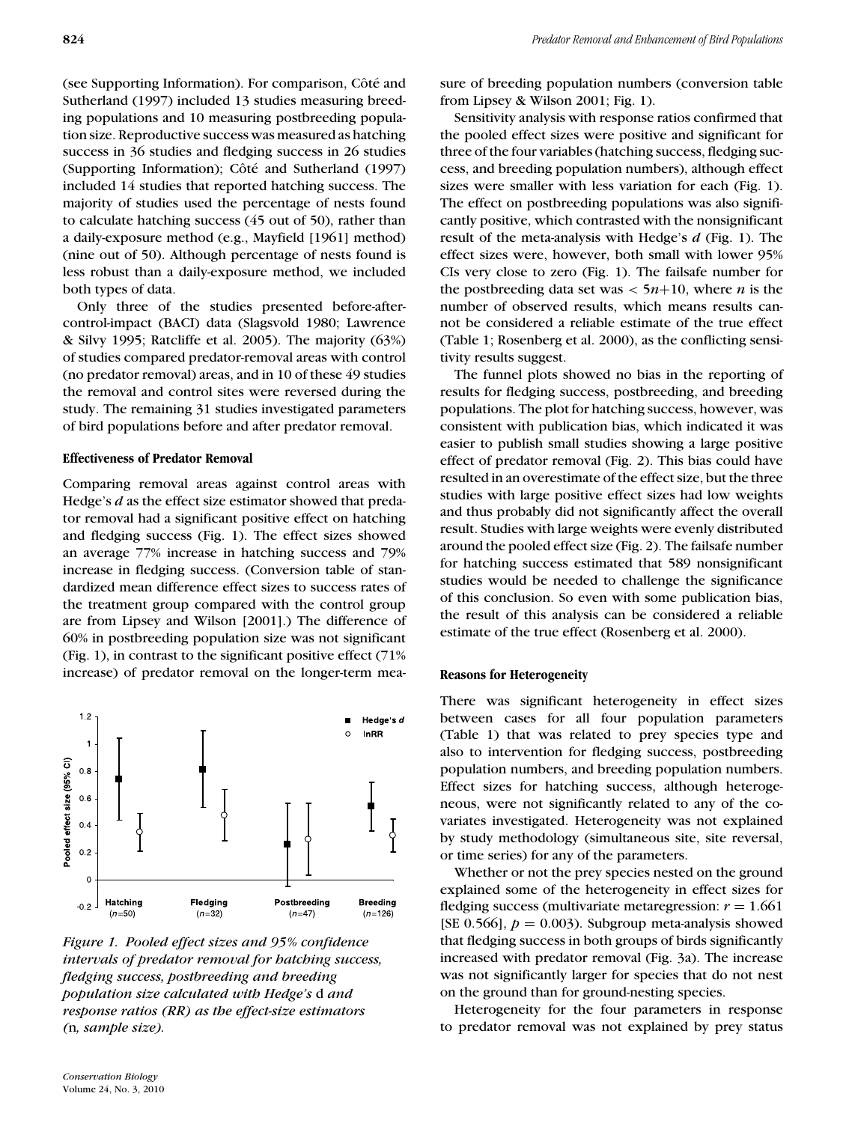(see Supporting Information). For comparison, Côté and Sutherland (1997) included 13 studies measuring breeding populations and 10 measuring postbreeding population size. Reproductive success was measured as hatching success in 36 studies and fledging success in 26 studies (Supporting Information); Côté and Sutherland (1997) included 14 studies that reported hatching success. The majority of studies used the percentage of nests found to calculate hatching success (45 out of 50), rather than a daily-exposure method (e.g., Mayfield [1961] method) (nine out of 50). Although percentage of nests found is less robust than a daily-exposure method, we included both types of data.

Only three of the studies presented before-aftercontrol-impact (BACI) data (Slagsvold 1980; Lawrence & Silvy 1995; Ratcliffe et al. 2005). The majority (63%) of studies compared predator-removal areas with control (no predator removal) areas, and in 10 of these 49 studies the removal and control sites were reversed during the study. The remaining 31 studies investigated parameters of bird populations before and after predator removal.

#### **Effectiveness of Predator Removal**

Comparing removal areas against control areas with Hedge's *d* as the effect size estimator showed that predator removal had a significant positive effect on hatching and fledging success (Fig. 1). The effect sizes showed an average 77% increase in hatching success and 79% increase in fledging success. (Conversion table of standardized mean difference effect sizes to success rates of the treatment group compared with the control group are from Lipsey and Wilson [2001].) The difference of 60% in postbreeding population size was not significant (Fig. 1), in contrast to the significant positive effect (71% increase) of predator removal on the longer-term mea-



*Figure 1. Pooled effect sizes and 95% confidence intervals of predator removal for hatching success, fledging success, postbreeding and breeding population size calculated with Hedge's* d *and response ratios (RR) as the effect-size estimators (*n*, sample size).*

sure of breeding population numbers (conversion table from Lipsey & Wilson 2001; Fig. 1).

Sensitivity analysis with response ratios confirmed that the pooled effect sizes were positive and significant for three of the four variables (hatching success, fledging success, and breeding population numbers), although effect sizes were smaller with less variation for each (Fig. 1). The effect on postbreeding populations was also significantly positive, which contrasted with the nonsignificant result of the meta-analysis with Hedge's *d* (Fig. 1). The effect sizes were, however, both small with lower 95% CIs very close to zero (Fig. 1). The failsafe number for the postbreeding data set was  $\lt 5n+10$ , where *n* is the number of observed results, which means results cannot be considered a reliable estimate of the true effect (Table 1; Rosenberg et al. 2000), as the conflicting sensitivity results suggest.

The funnel plots showed no bias in the reporting of results for fledging success, postbreeding, and breeding populations. The plot for hatching success, however, was consistent with publication bias, which indicated it was easier to publish small studies showing a large positive effect of predator removal (Fig. 2). This bias could have resulted in an overestimate of the effect size, but the three studies with large positive effect sizes had low weights and thus probably did not significantly affect the overall result. Studies with large weights were evenly distributed around the pooled effect size (Fig. 2). The failsafe number for hatching success estimated that 589 nonsignificant studies would be needed to challenge the significance of this conclusion. So even with some publication bias, the result of this analysis can be considered a reliable estimate of the true effect (Rosenberg et al. 2000).

#### **Reasons for Heterogeneity**

There was significant heterogeneity in effect sizes between cases for all four population parameters (Table 1) that was related to prey species type and also to intervention for fledging success, postbreeding population numbers, and breeding population numbers. Effect sizes for hatching success, although heterogeneous, were not significantly related to any of the covariates investigated. Heterogeneity was not explained by study methodology (simultaneous site, site reversal, or time series) for any of the parameters.

Whether or not the prey species nested on the ground explained some of the heterogeneity in effect sizes for fledging success (multivariate metaregression:  $r = 1.661$ [SE 0.566],  $p = 0.003$ ). Subgroup meta-analysis showed that fledging success in both groups of birds significantly increased with predator removal (Fig. 3a). The increase was not significantly larger for species that do not nest on the ground than for ground-nesting species.

Heterogeneity for the four parameters in response to predator removal was not explained by prey status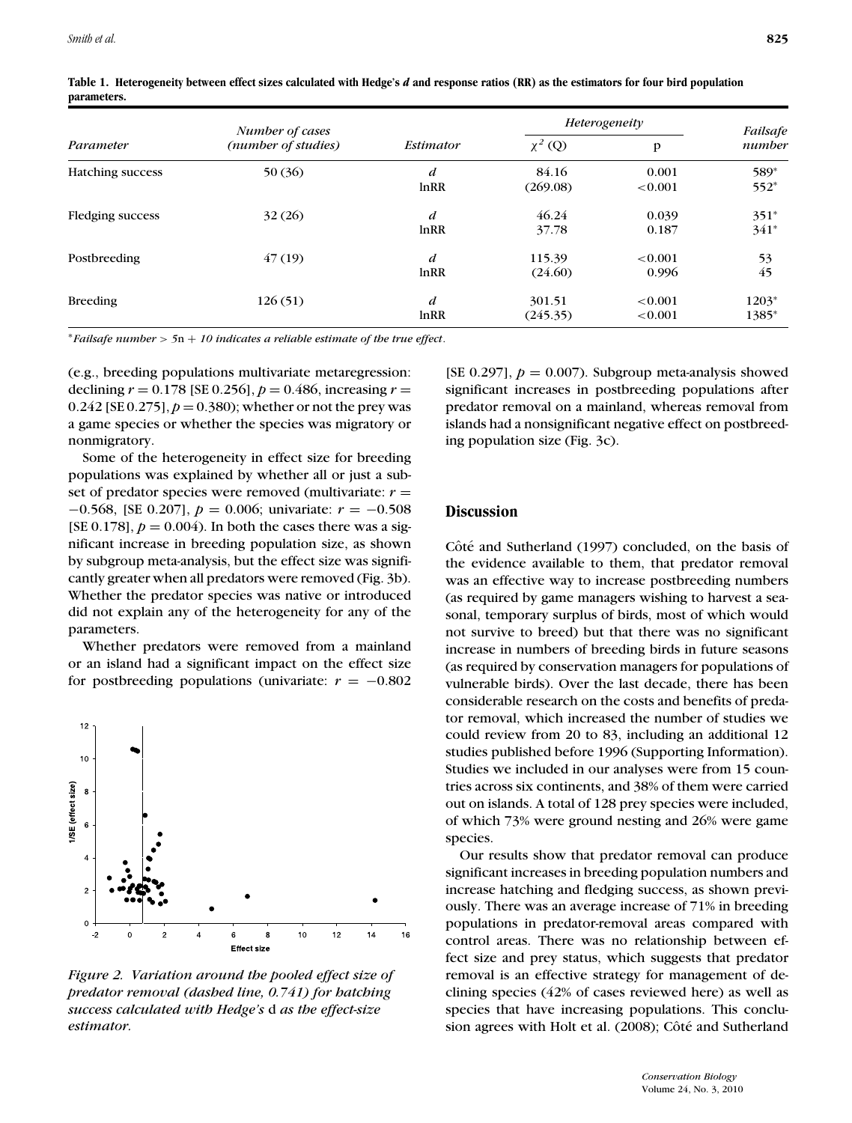| Parameter               | Number of cases<br>(number of studies) | Estimator | Heterogeneity      |                    | Failsafe         |
|-------------------------|----------------------------------------|-----------|--------------------|--------------------|------------------|
|                         |                                        |           | $\chi^2$ (Q)       | p                  | number           |
| <b>Hatching success</b> | 50 (36)                                | d<br>lnRR | 84.16<br>(269.08)  | 0.001<br>< 0.001   | 589*<br>$552*$   |
| Fledging success        | 32(26)                                 | d<br>lnRR | 46.24<br>37.78     | 0.039<br>0.187     | $351*$<br>$341*$ |
| Postbreeding            | 47(19)                                 | d<br>lnRR | 115.39<br>(24.60)  | < 0.001<br>0.996   | 53<br>45         |
| <b>Breeding</b>         | 126(51)                                | d<br>lnRR | 301.51<br>(245.35) | < 0.001<br>< 0.001 | $1203*$<br>1385* |

**Table 1. Heterogeneity between effect sizes calculated with Hedge's** *d* **and response ratios (RR) as the estimators for four bird population parameters.**

<sup>∗</sup>*Failsafe number* > *5*n + *10 indicates a reliable estimate of the true effect*.

(e.g., breeding populations multivariate metaregression: declining  $r = 0.178$  [SE 0.256],  $p = 0.486$ , increasing  $r =$ 0.242 [SE 0.275],  $p = 0.380$ ; whether or not the prey was a game species or whether the species was migratory or nonmigratory.

Some of the heterogeneity in effect size for breeding populations was explained by whether all or just a subset of predator species were removed (multivariate: *r* = −0.568, [SE 0.207], *p* = 0.006; univariate: *r* = −0.508 [SE 0.178],  $p = 0.004$ ). In both the cases there was a significant increase in breeding population size, as shown by subgroup meta-analysis, but the effect size was significantly greater when all predators were removed (Fig. 3b). Whether the predator species was native or introduced did not explain any of the heterogeneity for any of the parameters.

Whether predators were removed from a mainland or an island had a significant impact on the effect size for postbreeding populations (univariate:  $r = -0.802$ 



*Figure 2. Variation around the pooled effect size of predator removal (dashed line, 0.741) for hatching success calculated with Hedge's* d *as the effect-size estimator.*

[SE 0.297],  $p = 0.007$ ). Subgroup meta-analysis showed significant increases in postbreeding populations after predator removal on a mainland, whereas removal from islands had a nonsignificant negative effect on postbreeding population size (Fig. 3c).

#### **Discussion**

Côté and Sutherland (1997) concluded, on the basis of the evidence available to them, that predator removal was an effective way to increase postbreeding numbers (as required by game managers wishing to harvest a seasonal, temporary surplus of birds, most of which would not survive to breed) but that there was no significant increase in numbers of breeding birds in future seasons (as required by conservation managers for populations of vulnerable birds). Over the last decade, there has been considerable research on the costs and benefits of predator removal, which increased the number of studies we could review from 20 to 83, including an additional 12 studies published before 1996 (Supporting Information). Studies we included in our analyses were from 15 countries across six continents, and 38% of them were carried out on islands. A total of 128 prey species were included, of which 73% were ground nesting and 26% were game species.

Our results show that predator removal can produce significant increases in breeding population numbers and increase hatching and fledging success, as shown previously. There was an average increase of 71% in breeding populations in predator-removal areas compared with control areas. There was no relationship between effect size and prey status, which suggests that predator removal is an effective strategy for management of declining species (42% of cases reviewed here) as well as species that have increasing populations. This conclusion agrees with Holt et al. (2008); Côté and Sutherland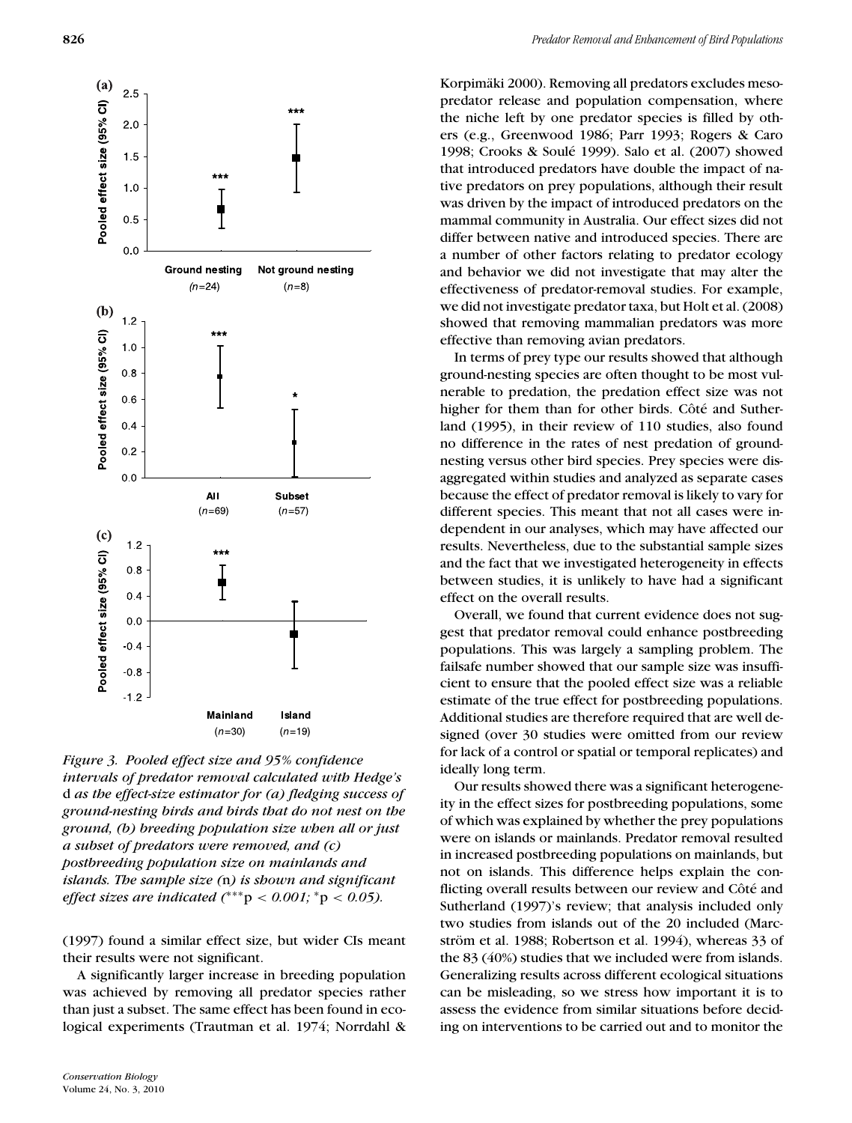

*Figure 3. Pooled effect size and 95% confidence intervals of predator removal calculated with Hedge's* d *as the effect-size estimator for (a) fledging success of ground-nesting birds and birds that do not nest on the ground, (b) breeding population size when all or just a subset of predators were removed, and (c) postbreeding population size on mainlands and islands. The sample size (*n*) is shown and significant effect sizes are indicated (*∗∗∗p < *0.001;* <sup>∗</sup>p < *0.05).*

(1997) found a similar effect size, but wider CIs meant their results were not significant.

A significantly larger increase in breeding population was achieved by removing all predator species rather than just a subset. The same effect has been found in ecological experiments (Trautman et al. 1974; Norrdahl &

Korpimäki 2000). Removing all predators excludes mesopredator release and population compensation, where the niche left by one predator species is filled by others (e.g., Greenwood 1986; Parr 1993; Rogers & Caro 1998; Crooks & Soulé 1999). Salo et al. (2007) showed that introduced predators have double the impact of native predators on prey populations, although their result was driven by the impact of introduced predators on the mammal community in Australia. Our effect sizes did not differ between native and introduced species. There are a number of other factors relating to predator ecology and behavior we did not investigate that may alter the effectiveness of predator-removal studies. For example, we did not investigate predator taxa, but Holt et al. (2008) showed that removing mammalian predators was more effective than removing avian predators.

In terms of prey type our results showed that although ground-nesting species are often thought to be most vulnerable to predation, the predation effect size was not higher for them than for other birds. Côté and Sutherland (1995), in their review of 110 studies, also found no difference in the rates of nest predation of groundnesting versus other bird species. Prey species were disaggregated within studies and analyzed as separate cases because the effect of predator removal is likely to vary for different species. This meant that not all cases were independent in our analyses, which may have affected our results. Nevertheless, due to the substantial sample sizes and the fact that we investigated heterogeneity in effects between studies, it is unlikely to have had a significant effect on the overall results.

Overall, we found that current evidence does not suggest that predator removal could enhance postbreeding populations. This was largely a sampling problem. The failsafe number showed that our sample size was insufficient to ensure that the pooled effect size was a reliable estimate of the true effect for postbreeding populations. Additional studies are therefore required that are well designed (over 30 studies were omitted from our review for lack of a control or spatial or temporal replicates) and ideally long term.

Our results showed there was a significant heterogeneity in the effect sizes for postbreeding populations, some of which was explained by whether the prey populations were on islands or mainlands. Predator removal resulted in increased postbreeding populations on mainlands, but not on islands. This difference helps explain the conflicting overall results between our review and Côté and Sutherland (1997)'s review; that analysis included only two studies from islands out of the 20 included (Marcström et al. 1988; Robertson et al. 1994), whereas 33 of the 83 (40%) studies that we included were from islands. Generalizing results across different ecological situations can be misleading, so we stress how important it is to assess the evidence from similar situations before deciding on interventions to be carried out and to monitor the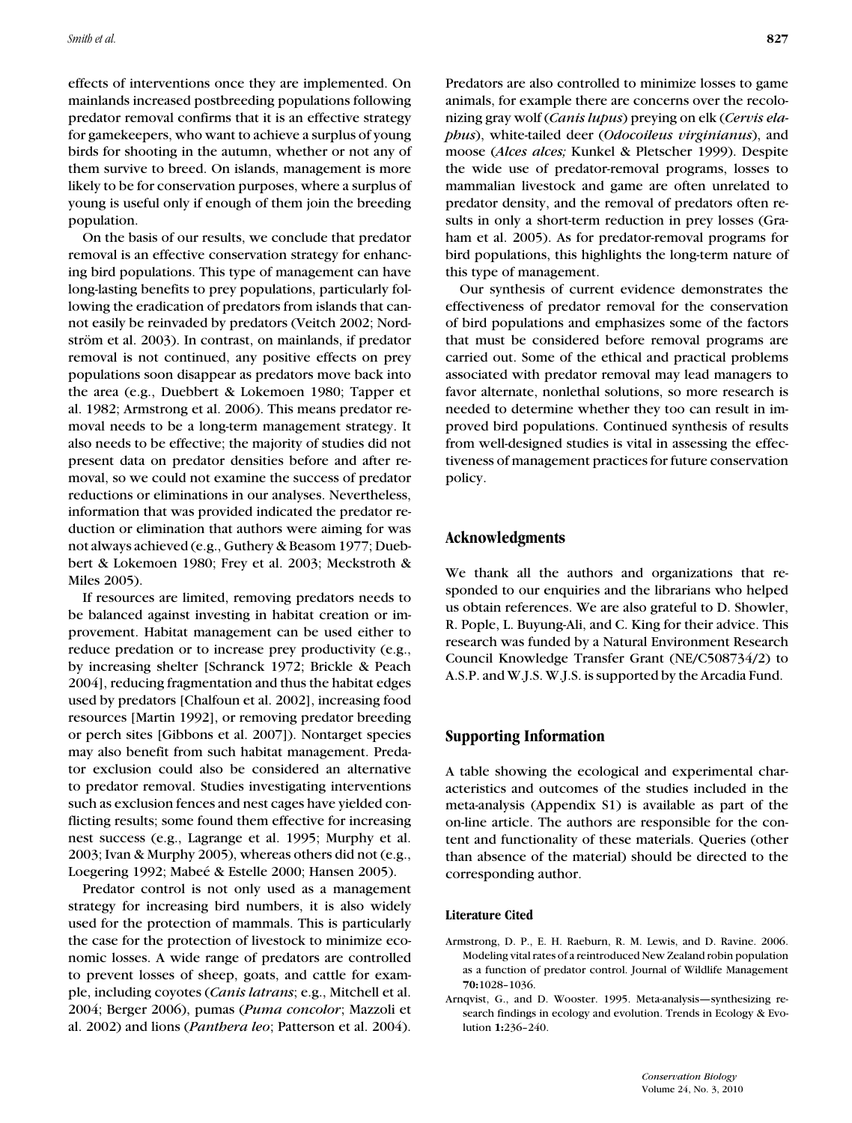effects of interventions once they are implemented. On mainlands increased postbreeding populations following predator removal confirms that it is an effective strategy for gamekeepers, who want to achieve a surplus of young birds for shooting in the autumn, whether or not any of them survive to breed. On islands, management is more likely to be for conservation purposes, where a surplus of young is useful only if enough of them join the breeding population.

On the basis of our results, we conclude that predator removal is an effective conservation strategy for enhancing bird populations. This type of management can have long-lasting benefits to prey populations, particularly following the eradication of predators from islands that cannot easily be reinvaded by predators (Veitch 2002; Nordström et al. 2003). In contrast, on mainlands, if predator removal is not continued, any positive effects on prey populations soon disappear as predators move back into the area (e.g., Duebbert & Lokemoen 1980; Tapper et al. 1982; Armstrong et al. 2006). This means predator removal needs to be a long-term management strategy. It also needs to be effective; the majority of studies did not present data on predator densities before and after removal, so we could not examine the success of predator reductions or eliminations in our analyses. Nevertheless, information that was provided indicated the predator reduction or elimination that authors were aiming for was not always achieved (e.g., Guthery & Beasom 1977; Duebbert & Lokemoen 1980; Frey et al. 2003; Meckstroth & Miles 2005).

If resources are limited, removing predators needs to be balanced against investing in habitat creation or improvement. Habitat management can be used either to reduce predation or to increase prey productivity (e.g., by increasing shelter [Schranck 1972; Brickle & Peach 2004], reducing fragmentation and thus the habitat edges used by predators [Chalfoun et al. 2002], increasing food resources [Martin 1992], or removing predator breeding or perch sites [Gibbons et al. 2007]). Nontarget species may also benefit from such habitat management. Predator exclusion could also be considered an alternative to predator removal. Studies investigating interventions such as exclusion fences and nest cages have yielded conflicting results; some found them effective for increasing nest success (e.g., Lagrange et al. 1995; Murphy et al. 2003; Ivan & Murphy 2005), whereas others did not (e.g., Loegering 1992; Mabeé & Estelle 2000; Hansen 2005).

Predator control is not only used as a management strategy for increasing bird numbers, it is also widely used for the protection of mammals. This is particularly the case for the protection of livestock to minimize economic losses. A wide range of predators are controlled to prevent losses of sheep, goats, and cattle for example, including coyotes (*Canis latrans*; e.g., Mitchell et al. 2004; Berger 2006), pumas (*Puma concolor*; Mazzoli et al. 2002) and lions (*Panthera leo*; Patterson et al. 2004).

moose (*Alces alces;* Kunkel & Pletscher 1999). Despite the wide use of predator-removal programs, losses to mammalian livestock and game are often unrelated to predator density, and the removal of predators often results in only a short-term reduction in prey losses (Graham et al. 2005). As for predator-removal programs for bird populations, this highlights the long-term nature of this type of management.

Our synthesis of current evidence demonstrates the effectiveness of predator removal for the conservation of bird populations and emphasizes some of the factors that must be considered before removal programs are carried out. Some of the ethical and practical problems associated with predator removal may lead managers to favor alternate, nonlethal solutions, so more research is needed to determine whether they too can result in improved bird populations. Continued synthesis of results from well-designed studies is vital in assessing the effectiveness of management practices for future conservation policy.

#### **Acknowledgments**

We thank all the authors and organizations that responded to our enquiries and the librarians who helped us obtain references. We are also grateful to D. Showler, R. Pople, L. Buyung-Ali, and C. King for their advice. This research was funded by a Natural Environment Research Council Knowledge Transfer Grant (NE/C508734/2) to A.S.P. and W.J.S. W.J.S. is supported by the Arcadia Fund.

#### **Supporting Information**

A table showing the ecological and experimental characteristics and outcomes of the studies included in the meta-analysis (Appendix S1) is available as part of the on-line article. The authors are responsible for the content and functionality of these materials. Queries (other than absence of the material) should be directed to the corresponding author.

#### **Literature Cited**

- Armstrong, D. P., E. H. Raeburn, R. M. Lewis, and D. Ravine. 2006. Modeling vital rates of a reintroduced New Zealand robin population as a function of predator control. Journal of Wildlife Management **70:**1028–1036.
- Arnqvist, G., and D. Wooster. 1995. Meta-analysis—synthesizing research findings in ecology and evolution. Trends in Ecology & Evolution **1:**236–240.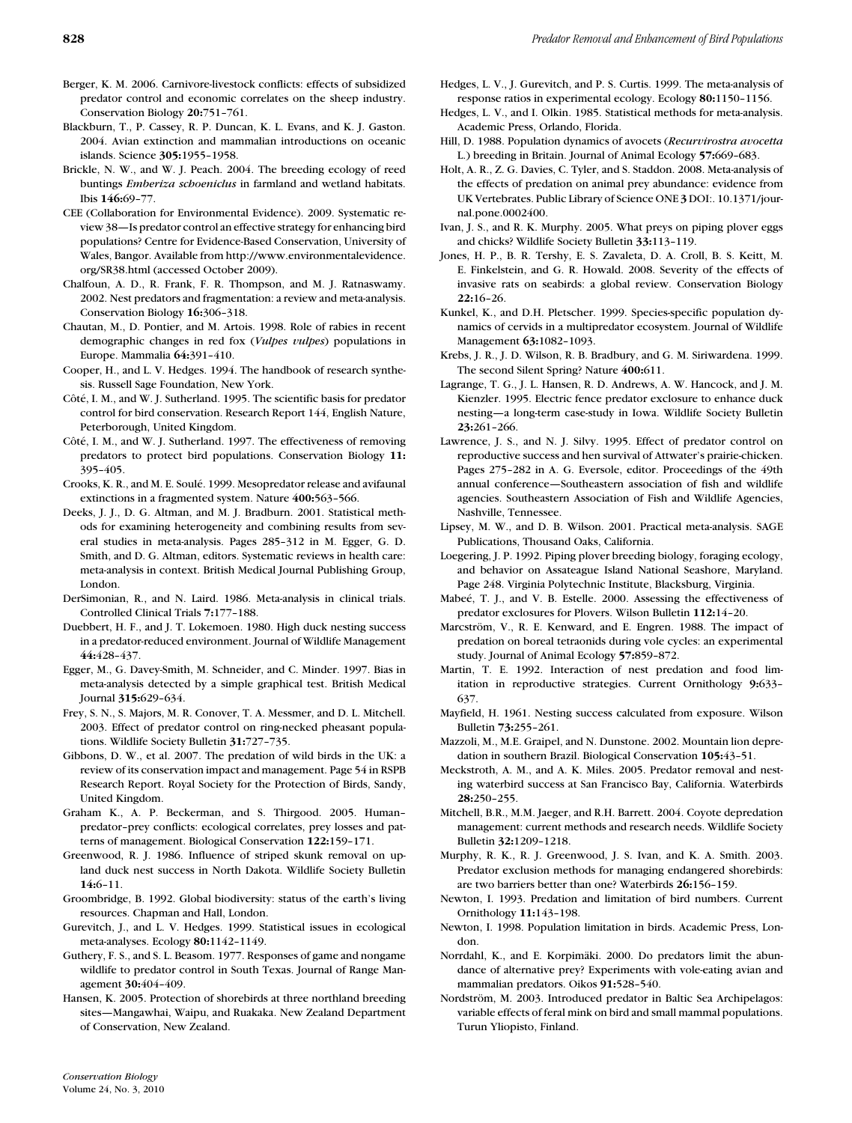- Berger, K. M. 2006. Carnivore-livestock conflicts: effects of subsidized predator control and economic correlates on the sheep industry. Conservation Biology **20:**751–761.
- Blackburn, T., P. Cassey, R. P. Duncan, K. L. Evans, and K. J. Gaston. 2004. Avian extinction and mammalian introductions on oceanic islands. Science **305:**1955–1958.
- Brickle, N. W., and W. J. Peach. 2004. The breeding ecology of reed buntings *Emberiza schoeniclus* in farmland and wetland habitats. Ibis **146:**69–77.
- CEE (Collaboration for Environmental Evidence). 2009. Systematic review 38—Is predator control an effective strategy for enhancing bird populations? Centre for Evidence-Based Conservation, University of Wales, Bangor. Available from http://www.environmentalevidence. org/SR38.html (accessed October 2009).
- Chalfoun, A. D., R. Frank, F. R. Thompson, and M. J. Ratnaswamy. 2002. Nest predators and fragmentation: a review and meta-analysis. Conservation Biology **16:**306–318.
- Chautan, M., D. Pontier, and M. Artois. 1998. Role of rabies in recent demographic changes in red fox (*Vulpes vulpes*) populations in Europe. Mammalia **64:**391–410.
- Cooper, H., and L. V. Hedges. 1994. The handbook of research synthesis. Russell Sage Foundation, New York.
- Côté, I. M., and W. J. Sutherland. 1995. The scientific basis for predator control for bird conservation. Research Report 144, English Nature, Peterborough, United Kingdom.
- Côté, I. M., and W. J. Sutherland. 1997. The effectiveness of removing predators to protect bird populations. Conservation Biology **11:** 395–405.
- Crooks, K. R., and M. E. Soulé. 1999. Mesopredator release and avifaunal extinctions in a fragmented system. Nature **400:**563–566.
- Deeks, J. J., D. G. Altman, and M. J. Bradburn. 2001. Statistical methods for examining heterogeneity and combining results from several studies in meta-analysis. Pages 285–312 in M. Egger, G. D. Smith, and D. G. Altman, editors. Systematic reviews in health care: meta-analysis in context. British Medical Journal Publishing Group, London.
- DerSimonian, R., and N. Laird. 1986. Meta-analysis in clinical trials. Controlled Clinical Trials **7:**177–188.
- Duebbert, H. F., and J. T. Lokemoen. 1980. High duck nesting success in a predator-reduced environment. Journal of Wildlife Management **44:**428–437.
- Egger, M., G. Davey-Smith, M. Schneider, and C. Minder. 1997. Bias in meta-analysis detected by a simple graphical test. British Medical Journal **315:**629–634.
- Frey, S. N., S. Majors, M. R. Conover, T. A. Messmer, and D. L. Mitchell. 2003. Effect of predator control on ring-necked pheasant populations. Wildlife Society Bulletin **31:**727–735.
- Gibbons, D. W., et al. 2007. The predation of wild birds in the UK: a review of its conservation impact and management. Page 54 in RSPB Research Report. Royal Society for the Protection of Birds, Sandy, United Kingdom.
- Graham K., A. P. Beckerman, and S. Thirgood. 2005. Human– predator–prey conflicts: ecological correlates, prey losses and patterns of management. Biological Conservation **122:**159–171.
- Greenwood, R. J. 1986. Influence of striped skunk removal on upland duck nest success in North Dakota. Wildlife Society Bulletin **14:**6–11.
- Groombridge, B. 1992. Global biodiversity: status of the earth's living resources. Chapman and Hall, London.
- Gurevitch, J., and L. V. Hedges. 1999. Statistical issues in ecological meta-analyses. Ecology **80:**1142–1149.
- Guthery, F. S., and S. L. Beasom. 1977. Responses of game and nongame wildlife to predator control in South Texas. Journal of Range Management **30:**404–409.
- Hansen, K. 2005. Protection of shorebirds at three northland breeding sites—Mangawhai, Waipu, and Ruakaka. New Zealand Department of Conservation, New Zealand.
- Hedges, L. V., J. Gurevitch, and P. S. Curtis. 1999. The meta-analysis of response ratios in experimental ecology. Ecology **80:**1150–1156.
- Hedges, L. V., and I. Olkin. 1985. Statistical methods for meta-analysis. Academic Press, Orlando, Florida.
- Hill, D. 1988. Population dynamics of avocets (*Recurvirostra avocetta* L.) breeding in Britain. Journal of Animal Ecology **57:**669–683.
- Holt, A. R., Z. G. Davies, C. Tyler, and S. Staddon. 2008. Meta-analysis of the effects of predation on animal prey abundance: evidence from UK Vertebrates. Public Library of Science ONE **3** DOI:. 10.1371/journal.pone.0002400.
- Ivan, J. S., and R. K. Murphy. 2005. What preys on piping plover eggs and chicks? Wildlife Society Bulletin **33:**113–119.
- Jones, H. P., B. R. Tershy, E. S. Zavaleta, D. A. Croll, B. S. Keitt, M. E. Finkelstein, and G. R. Howald. 2008. Severity of the effects of invasive rats on seabirds: a global review. Conservation Biology **22:**16–26.
- Kunkel, K., and D.H. Pletscher. 1999. Species-specific population dynamics of cervids in a multipredator ecosystem. Journal of Wildlife Management **63:**1082–1093.
- Krebs, J. R., J. D. Wilson, R. B. Bradbury, and G. M. Siriwardena. 1999. The second Silent Spring? Nature **400:**611.
- Lagrange, T. G., J. L. Hansen, R. D. Andrews, A. W. Hancock, and J. M. Kienzler. 1995. Electric fence predator exclosure to enhance duck nesting—a long-term case-study in Iowa. Wildlife Society Bulletin **23:**261–266.
- Lawrence, J. S., and N. J. Silvy. 1995. Effect of predator control on reproductive success and hen survival of Attwater's prairie-chicken. Pages 275–282 in A. G. Eversole, editor. Proceedings of the 49th annual conference—Southeastern association of fish and wildlife agencies. Southeastern Association of Fish and Wildlife Agencies, Nashville, Tennessee.
- Lipsey, M. W., and D. B. Wilson. 2001. Practical meta-analysis. SAGE Publications, Thousand Oaks, California.
- Loegering, J. P. 1992. Piping plover breeding biology, foraging ecology, and behavior on Assateague Island National Seashore, Maryland. Page 248. Virginia Polytechnic Institute, Blacksburg, Virginia.
- Mabeé, T. J., and V. B. Estelle. 2000. Assessing the effectiveness of predator exclosures for Plovers. Wilson Bulletin **112:**14–20.
- Marcström, V., R. E. Kenward, and E. Engren. 1988. The impact of predation on boreal tetraonids during vole cycles: an experimental study. Journal of Animal Ecology **57:**859–872.
- Martin, T. E. 1992. Interaction of nest predation and food limitation in reproductive strategies. Current Ornithology **9:**633– 637.
- Mayfield, H. 1961. Nesting success calculated from exposure. Wilson Bulletin **73:**255–261.
- Mazzoli, M., M.E. Graipel, and N. Dunstone. 2002. Mountain lion depredation in southern Brazil. Biological Conservation **105:**43–51.
- Meckstroth, A. M., and A. K. Miles. 2005. Predator removal and nesting waterbird success at San Francisco Bay, California. Waterbirds **28:**250–255.
- Mitchell, B.R., M.M. Jaeger, and R.H. Barrett. 2004. Coyote depredation management: current methods and research needs. Wildlife Society Bulletin **32:**1209–1218.
- Murphy, R. K., R. J. Greenwood, J. S. Ivan, and K. A. Smith. 2003. Predator exclusion methods for managing endangered shorebirds: are two barriers better than one? Waterbirds **26:**156–159.
- Newton, I. 1993. Predation and limitation of bird numbers. Current Ornithology **11:**143–198.
- Newton, I. 1998. Population limitation in birds. Academic Press, London.
- Norrdahl, K., and E. Korpimäki. 2000. Do predators limit the abundance of alternative prey? Experiments with vole-eating avian and mammalian predators. Oikos **91:**528–540.
- Nordström, M. 2003. Introduced predator in Baltic Sea Archipelagos: variable effects of feral mink on bird and small mammal populations. Turun Yliopisto, Finland.